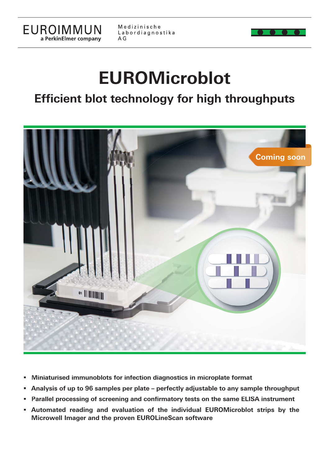

Medizinische Labordiagnostika A G

# **EUROMicroblot**

## **Efficient blot technology for high throughputs**



- **Miniaturised immunoblots for infection diagnostics in microplate format**
- **Analysis of up to 96 samples per plate perfectly adjustable to any sample throughput**
- **Parallel processing of screening and confirmatory tests on the same ELISA instrument**
- **Automated reading and evaluation of the individual EUROMicroblot strips by the Microwell Imager and the proven EUROLineScan software**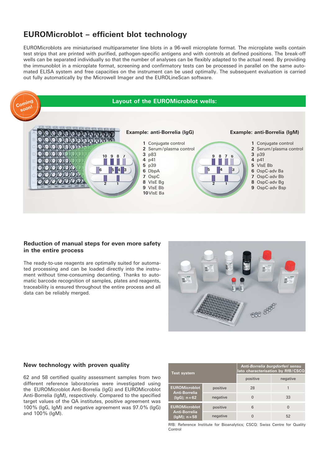### **EUROMicroblot – efficient blot technology**

EUROMicroblots are miniaturised multiparameter line blots in a 96-well microplate format. The microplate wells contain test strips that are printed with purified, pathogen-specific antigens and with controls at defined positions. The break-off wells can be separated individually so that the number of analyses can be flexibly adapted to the actual need. By providing the immunoblot in a microplate format, screening and confirmatory tests can be processed in parallel on the same automated ELISA system and free capacities on the instrument can be used optimally. The subsequent evaluation is carried out fully automatically by the Microwell Imager and the EUROLineScan software.



#### **Reduction of manual steps for even more safety in the entire process**

The ready-to-use reagents are optimally suited for automated processing and can be loaded directly into the instrument without time-consuming decanting. Thanks to automatic barcode recognition of samples, plates and reagents, traceability is ensured throughout the entire process and all data can be reliably merged.



#### **New technology with proven quality**

62 and 58 certified quality assessment samples from two different reference laboratories were investigated using the EUROMicroblot Anti-Borrelia (IgG) and EUROMicroblot Anti-Borrelia (IgM), respectively. Compared to the specified target values of the QA institutes, positive agreement was 100 % (IgG, IgM) and negative agreement was 97.0 % (IgG) and 100 % (IgM).

| <b>Test system</b>                                               |          | Anti-Borrelia burgdorferi sensu<br>lato characterisation by RfB/CSCQ |          |
|------------------------------------------------------------------|----------|----------------------------------------------------------------------|----------|
|                                                                  |          | positive                                                             | negative |
| <b>EUROMicroblot</b><br><b>Anti-Borrelia</b><br>$(lgG); n = 62$  | positive | 28                                                                   |          |
|                                                                  | negative |                                                                      | 33       |
| <b>EUROMicroblot</b><br><b>Anti-Borrelia</b><br>$(lqM)$ ; n = 58 | positive | 6                                                                    |          |
|                                                                  | negative |                                                                      | 52       |

RfB: Reference Institute for Bioanalytics; CSCQ: Swiss Centre for Quality Control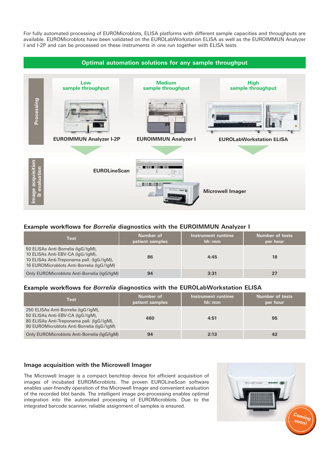For fully automated processing of EUROMicroblots, ELISA platforms with different sample capacities and throughputs are available. EUROMicroblots have been validated on the EUROLabWorkstation ELISA as well as the EUROIMMUN Analyzer I and I-2P and can be processed on these instruments in one run together with ELISA tests.



#### **Example workflows for Borrelia diagnostics with the EUROIMMUN Analyzer I**

| <b>Test</b>                                                                                                                                                      | Number of<br>patient samples | Instrument runtime<br>hh:mm | <b>Number of tests</b><br>per hour |
|------------------------------------------------------------------------------------------------------------------------------------------------------------------|------------------------------|-----------------------------|------------------------------------|
| 50 ELISAs Anti-Borrelia (IqG/IqM),<br>10 ELISAs Anti-EBV-CA (IgG/IgM),<br>10 ELISAs Anti-Treponema pall. (IgG/IgM),<br>16 EUROMicroblots Anti-Borrelia (IqG/IqM) | 86                           | 4:45                        | 18                                 |
| Only EUROMicroblots Anti-Borrelia (IqG/IqM)                                                                                                                      | 94                           | 3:31                        | 27                                 |

#### Example workflows for *Borrelia* diagnostics with the EUROLabWorkstation ELISA

| <b>Test</b>                                                                                                                                                       | Number of<br>patient samples | Instrument runtime<br>hh:mm | <b>Number of tests</b><br>per hour |
|-------------------------------------------------------------------------------------------------------------------------------------------------------------------|------------------------------|-----------------------------|------------------------------------|
| 250 ELISAs Anti-Borrelia (IgG/IgM),<br>50 ELISAs Anti-EBV-CA (IgG/IgM),<br>80 ELISAs Anti-Treponema pall. (IgG/IgM),<br>80 EUROMicroblots Anti-Borrelia (IqG/IqM) | 460                          | 4:51                        | 95                                 |
| Only EUROMicroblots Anti-Borrelia (IqG/IqM)                                                                                                                       | 94                           | 2:13                        | 42                                 |

#### **Image acquisition with the Microwell Imager**

The Microwell Imager is a compact benchtop device for efficient acquisition of images of incubated EUROMicroblots. The proven EUROLineScan software enables user-friendly operation of the Microwell Imager and convenient evaluation of the recorded blot bands. The intelligent image pre-processing enables optimal integration into the automated processing of EUROMicroblots. Due to the integrated barcode scanner, reliable assignment of samples is ensured.